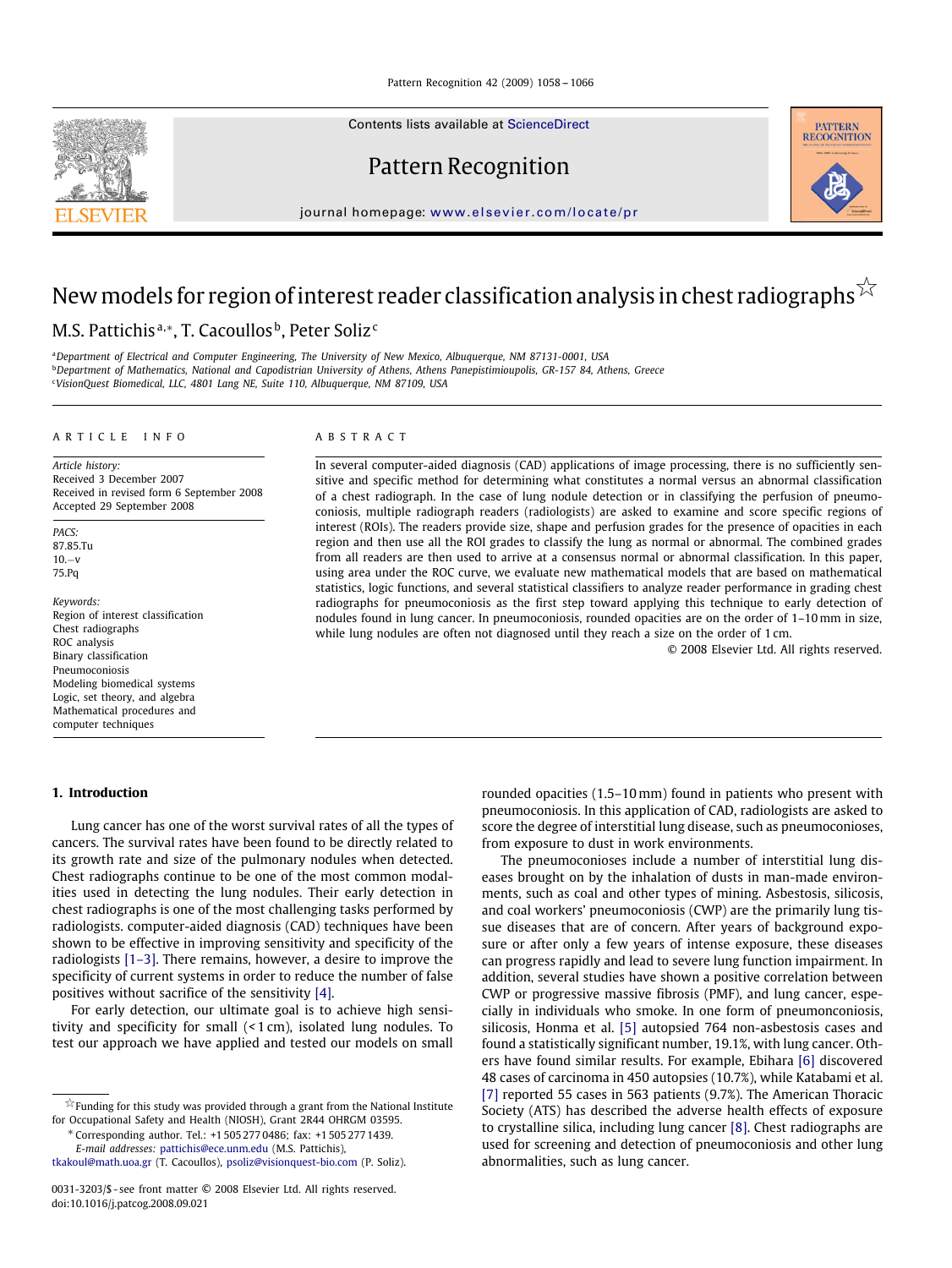Contents lists available at [ScienceDirect](http://www.sciencedirect.com/science/journal/pr)

Pattern Recognition

journal homepage: [www.elsevier.com/locate/pr](http://www.elsevier.com/locate/pr)

# New models for region of interest reader classification analysis in chest radiographs  $^{\not\sim}$

## M.S. Pattichis<sup>a,\*</sup>, T. Cacoullos<sup>b</sup>, Peter Soliz<sup>c</sup>

<sup>a</sup>*Department of Electrical and Computer Engineering, The University of New Mexico, Albuquerque, NM 87131-0001, USA* <sup>b</sup>*Department of Mathematics, National and Capodistrian University of Athens, Athens Panepistimioupolis, GR-157 84, Athens, Greece* <sup>c</sup>*VisionQuest Biomedical, LLC, 4801 Lang NE, Suite 110, Albuquerque, NM 87109, USA*

#### ARTICLE INFO ABSTRACT

*Article history:* Received 3 December 2007 Received in revised form 6 September 2008 Accepted 29 September 2008

*PACS:* 87.85.Tu  $10 - v$ 75.Pq

*Keywords:* Region of interest classification Chest radiographs ROC analysis Binary classification Pneumoconiosis Modeling biomedical systems Logic, set theory, and algebra Mathematical procedures and computer techniques

#### **1. Introduction**

In several computer-aided diagnosis (CAD) applications of image processing, there is no sufficiently sensitive and specific method for determining what constitutes a normal versus an abnormal classification of a chest radiograph. In the case of lung nodule detection or in classifying the perfusion of pneumoconiosis, multiple radiograph readers (radiologists) are asked to examine and score specific regions of interest (ROIs). The readers provide size, shape and perfusion grades for the presence of opacities in each region and then use all the ROI grades to classify the lung as normal or abnormal. The combined grades from all readers are then used to arrive at a consensus normal or abnormal classification. In this paper, using area under the ROC curve, we evaluate new mathematical models that are based on mathematical statistics, logic functions, and several statistical classifiers to analyze reader performance in grading chest radiographs for pneumoconiosis as the first step toward applying this technique to early detection of nodules found in lung cancer. In pneumoconiosis, rounded opacities are on the order of 1–10 mm in size, while lung nodules are often not diagnosed until they reach a size on the order of 1 cm.

© 2008 Elsevier Ltd. All rights reserved.

rounded opacities (1.5–10 mm) found in patients who present with pneumoconiosis. In this application of CAD, radiologists are asked to score the degree of interstitial lung disease, such as pneumoconioses, from exposure to dust in work environments. The pneumoconioses include a number of interstitial lung dis-

eases brought on by the inhalation of dusts in man-made environments, such as coal and other types of mining. Asbestosis, silicosis, and coal workers' pneumoconiosis (CWP) are the primarily lung tissue diseases that are of concern. After years of background exposure or after only a few years of intense exposure, these diseases can progress rapidly and lead to severe lung function impairment. In addition, several studies have shown a positive correlation between CWP or progressive massive fibrosis (PMF), and lung cancer, especially in individuals who smoke. In one form of pneumonconiosis, silicosis, Honma et al. [\[5\]](#page-7-1) autopsied 764 non-asbestosis cases and found a statistically significant number, 19.1%, with lung cancer. Others have found similar results. For example, Ebihara [\[6\]](#page-7-2) discovered 48 cases of carcinoma in 450 autopsies (10.7%), while Katabami et al. [\[7\]](#page-7-3) reported 55 cases in 563 patients (9.7%). The American Thoracic Society (ATS) has described the adverse health effects of exposure to crystalline silica, including lung cancer [\[8\].](#page-7-4) Chest radiographs are used for screening and detection of pneumoconiosis and other lung abnormalities, such as lung cancer.

For early detection, our ultimate goal is to achieve high sensitivity and specificity for small (*<* 1 cm), isolated lung nodules. To test our approach we have applied and tested our models on small





Lung cancer has one of the worst survival rates of all the types of cancers. The survival rates have been found to be directly related to its growth rate and size of the pulmonary nodules when detected. Chest radiographs continue to be one of the most common modalities used in detecting the lung nodules. Their early detection in chest radiographs is one of the most challenging tasks performed by radiologists. computer-aided diagnosis (CAD) techniques have been shown to be effective in improving sensitivity and specificity of the radiologists [1–3]. There remains, however, a desire to improve the specificity of current systems in order to reduce the number of false positives without sacrifice of the sensitivity [\[4\].](#page-7-0)

 $\mathbb{\hat{X}}$  Funding for this study was provided through a grant from the National Institute for Occupational Safety and Health (NIOSH), Grant 2R44 OHRGM 03595.

<sup>∗</sup> Corresponding author. Tel.: +1 505 277 0486; fax: +1 505 277 1439. *E-mail addresses:* [pattichis@ece.unm.edu](mailto:pattichis@ece.unm.edu) (M.S. Pattichis),

[tkakoul@math.uoa.gr](mailto:tkakoul@math.uoa.gr) (T. Cacoullos), [psoliz@visionquest-bio.com](mailto:psoliz@visionquest-bio.com) (P. Soliz).

<sup>0031-3203/\$ -</sup> see front matter © 2008 Elsevier Ltd. All rights reserved. doi:10.1016/j.patcog.2008.09.021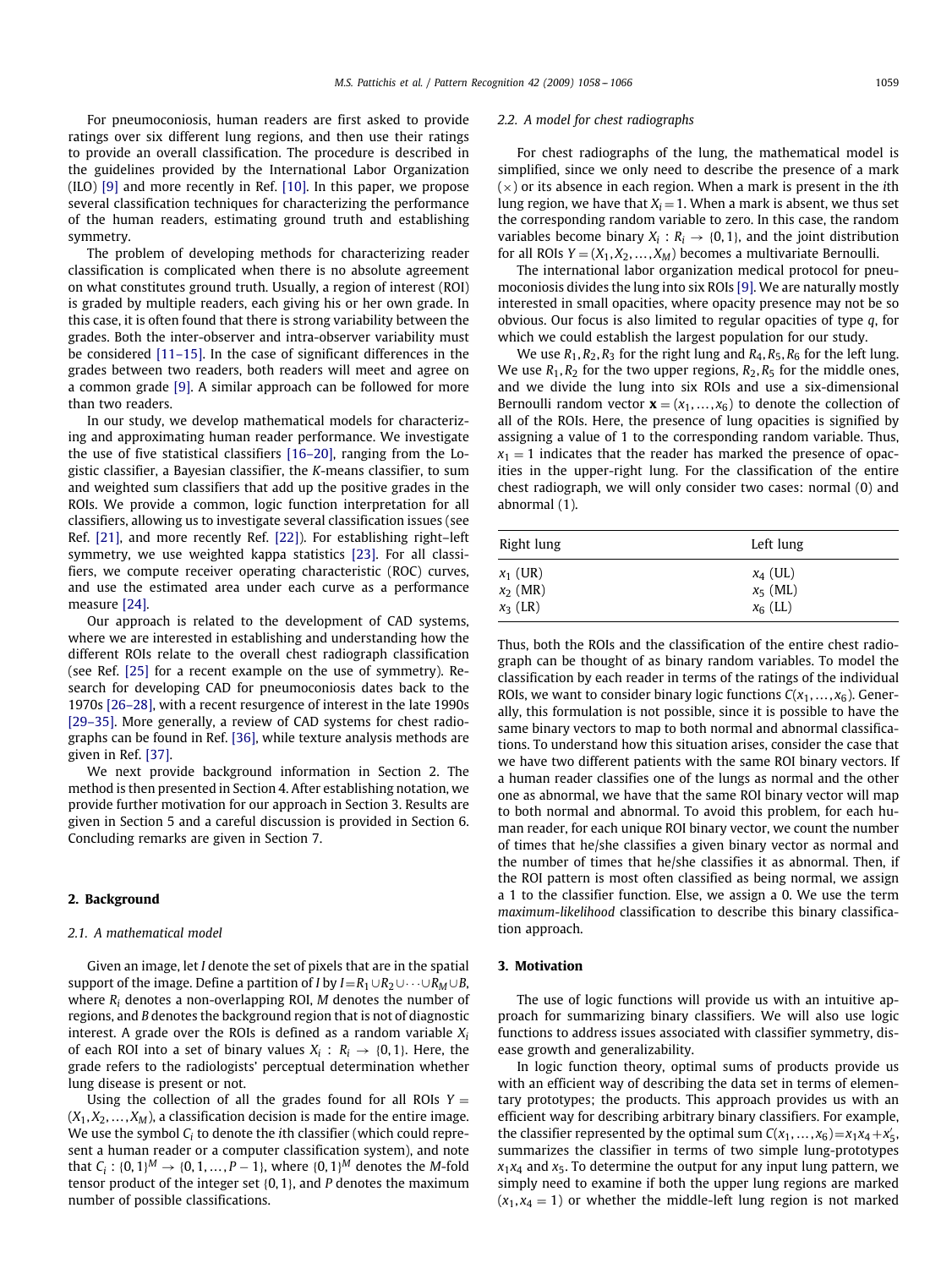For pneumoconiosis, human readers are first asked to provide ratings over six different lung regions, and then use their ratings to provide an overall classification. The procedure is described in the guidelines provided by the International Labor Organization (ILO) [\[9\]](#page-7-5) and more recently in Ref. [\[10\].](#page-7-6) In this paper, we propose several classification techniques for characterizing the performance of the human readers, estimating ground truth and establishing symmetry.

The problem of developing methods for characterizing reader classification is complicated when there is no absolute agreement on what constitutes ground truth. Usually, a region of interest (ROI) is graded by multiple readers, each giving his or her own grade. In this case, it is often found that there is strong variability between the grades. Both the inter-observer and intra-observer variability must be considered [11–15]. In the case of significant differences in the grades between two readers, both readers will meet and agree on a common grade [\[9\].](#page-7-5) A similar approach can be followed for more than two readers.

In our study, we develop mathematical models for characterizing and approximating human reader performance. We investigate the use of five statistical classifiers [16–20], ranging from the Logistic classifier, a Bayesian classifier, the *K*-means classifier, to sum and weighted sum classifiers that add up the positive grades in the ROIs. We provide a common, logic function interpretation for all classifiers, allowing us to investigate several classification issues (see Ref. [\[21\],](#page-7-7) and more recently Ref. [\[22\]\)](#page-7-8). For establishing right–left symmetry, we use weighted kappa statistics [\[23\].](#page-7-9) For all classifiers, we compute receiver operating characteristic (ROC) curves, and use the estimated area under each curve as a performance measure [\[24\].](#page-7-10)

Our approach is related to the development of CAD systems, where we are interested in establishing and understanding how the different ROIs relate to the overall chest radiograph classification (see Ref. [\[25\]](#page-7-11) for a recent example on the use of symmetry). Research for developing CAD for pneumoconiosis dates back to the 1970s [26–28], with a recent resurgence of interest in the late 1990s [29–35]. More generally, a review of CAD systems for chest radiographs can be found in Ref. [\[36\],](#page-7-12) while texture analysis methods are given in Ref. [\[37\].](#page-7-13)

We next provide background information in Section 2. The method is then presented in Section 4. After establishing notation, we provide further motivation for our approach in Section 3. Results are given in Section 5 and a careful discussion is provided in Section 6. Concluding remarks are given in Section 7.

#### **2. Background**

#### *2.1. A mathematical model*

Given an image, let *I* denote the set of pixels that are in the spatial support of the image. Define a partition of *I* by  $I = R_1 \cup R_2 \cup \cdots \cup R_M \cup B$ , where *Ri* denotes a non-overlapping ROI, *M* denotes the number of regions, and *B* denotes the background region that is not of diagnostic interest. A grade over the ROIs is defined as a random variable *Xi* of each ROI into a set of binary values  $X_i : R_i \rightarrow \{0, 1\}$ . Here, the grade refers to the radiologists' perceptual determination whether lung disease is present or not.

Using the collection of all the grades found for all ROIs  $Y =$  $(X_1, X_2, \ldots, X_M)$ , a classification decision is made for the entire image. We use the symbol *Ci* to denote the *i*th classifier (which could represent a human reader or a computer classification system), and note that  $C_i: \{0,1\}^M \to \{0,1,\ldots,P-1\}$ , where  $\{0,1\}^M$  denotes the *M*-fold tensor product of the integer set {0, 1}, and *P* denotes the maximum number of possible classifications.

#### *2.2. A model for chest radiographs*

For chest radiographs of the lung, the mathematical model is simplified, since we only need to describe the presence of a mark (×) or its absence in each region. When a mark is present in the *i*th lung region, we have that  $X_i = 1$ . When a mark is absent, we thus set the corresponding random variable to zero. In this case, the random variables become binary  $X_i : R_i \rightarrow \{0, 1\}$ , and the joint distribution for all ROIs  $Y = (X_1, X_2, ..., X_M)$  becomes a multivariate Bernoulli.

The international labor organization medical protocol for pneumoconiosis divides the lung into six ROIs [\[9\].](#page-7-5) We are naturally mostly interested in small opacities, where opacity presence may not be so obvious. Our focus is also limited to regular opacities of type *q*, for which we could establish the largest population for our study.

We use  $R_1$ ,  $R_2$ ,  $R_3$  for the right lung and  $R_4$ ,  $R_5$ ,  $R_6$  for the left lung. We use  $R_1$ ,  $R_2$  for the two upper regions,  $R_2$ ,  $R_5$  for the middle ones, and we divide the lung into six ROIs and use a six-dimensional Bernoulli random vector  $\mathbf{x} = (x_1, ..., x_6)$  to denote the collection of all of the ROIs. Here, the presence of lung opacities is signified by assigning a value of 1 to the corresponding random variable. Thus,  $x_1 = 1$  indicates that the reader has marked the presence of opacities in the upper-right lung. For the classification of the entire chest radiograph, we will only consider two cases: normal (0) and abnormal (1).

| Right lung                             | Left lung                             |  |
|----------------------------------------|---------------------------------------|--|
| $x_1$ (UR)<br>$x_2$ (MR)<br>$x_3$ (LR) | $x_4$ (UL)<br>$x_5$ (ML)<br>$x6$ (LL) |  |

Thus, both the ROIs and the classification of the entire chest radiograph can be thought of as binary random variables. To model the classification by each reader in terms of the ratings of the individual ROIs, we want to consider binary logic functions  $C(x_1,...,x_6)$ . Generally, this formulation is not possible, since it is possible to have the same binary vectors to map to both normal and abnormal classifications. To understand how this situation arises, consider the case that we have two different patients with the same ROI binary vectors. If a human reader classifies one of the lungs as normal and the other one as abnormal, we have that the same ROI binary vector will map to both normal and abnormal. To avoid this problem, for each human reader, for each unique ROI binary vector, we count the number of times that he/she classifies a given binary vector as normal and the number of times that he/she classifies it as abnormal. Then, if the ROI pattern is most often classified as being normal, we assign a 1 to the classifier function. Else, we assign a 0. We use the term *maximum-likelihood* classification to describe this binary classification approach.

#### **3. Motivation**

The use of logic functions will provide us with an intuitive approach for summarizing binary classifiers. We will also use logic functions to address issues associated with classifier symmetry, disease growth and generalizability.

In logic function theory, optimal sums of products provide us with an efficient way of describing the data set in terms of elementary prototypes; the products. This approach provides us with an efficient way for describing arbitrary binary classifiers. For example, the classifier represented by the optimal sum  $C(x_1,...,x_6) = x_1x_4 + x_5'$ summarizes the classifier in terms of two simple lung-prototypes  $x_1x_4$  and  $x_5$ . To determine the output for any input lung pattern, we simply need to examine if both the upper lung regions are marked  $(x_1, x_4 = 1)$  or whether the middle-left lung region is not marked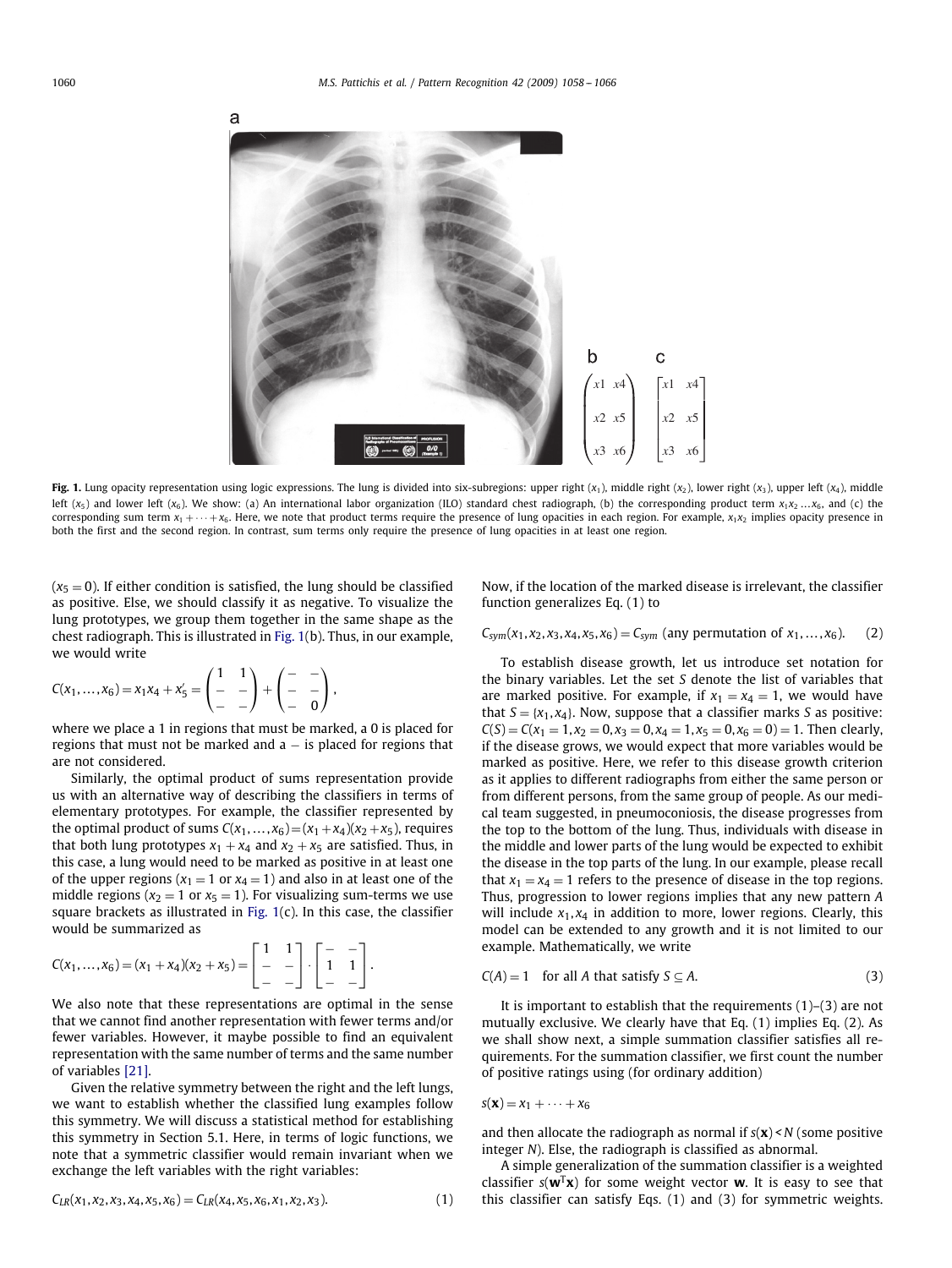

Fig. 1. Lung opacity representation using logic expressions. The lung is divided into six-subregions: upper right  $(x_1)$ , middle right  $(x_2)$ , lower right  $(x_3)$ , upper left  $(x_4)$ , middle left (*x*<sub>5</sub>) and lower left (*x*<sub>6</sub>). We show: (a) An international labor organization (ILO) standard chest radiograph, (b) the corresponding product term  $x_1x_2...x_6$ , and (c) the corresponding sum term  $x_1 + \cdots + x_6$ . Here, we note that product terms require the presence of lung opacities in each region. For example,  $x_1x_2$  implies opacity presence in both the first and the second region. In contrast, sum terms only require the presence of lung opacities in at least one region.

 $(x<sub>5</sub> = 0)$ . If either condition is satisfied, the lung should be classified as positive. Else, we should classify it as negative. To visualize the lung prototypes, we group them together in the same shape as the chest radiograph. This is illustrated in [Fig. 1\(](#page-2-0)b). Thus, in our example, we would write

$$
C(x_1,...,x_6) = x_1x_4 + x'_5 = \begin{pmatrix} 1 & 1 \\ - & - \\ - & - \end{pmatrix} + \begin{pmatrix} - & - \\ - & - \\ - & 0 \end{pmatrix},
$$

where we place a 1 in regions that must be marked, a 0 is placed for regions that must not be marked and  $a -$  is placed for regions that are not considered.

Similarly, the optimal product of sums representation provide us with an alternative way of describing the classifiers in terms of elementary prototypes. For example, the classifier represented by the optimal product of sums  $C(x_1,...,x_6) = (x_1 + x_4)(x_2 + x_5)$ , requires that both lung prototypes  $x_1 + x_4$  and  $x_2 + x_5$  are satisfied. Thus, in this case, a lung would need to be marked as positive in at least one of the upper regions ( $x_1 = 1$  or  $x_4 = 1$ ) and also in at least one of the middle regions ( $x_2 = 1$  or  $x_5 = 1$ ). For visualizing sum-terms we use square brackets as illustrated in [Fig. 1\(](#page-2-0)c). In this case, the classifier would be summarized as

$$
C(x_1,...,x_6) = (x_1 + x_4)(x_2 + x_5) = \begin{bmatrix} 1 & 1 \\ - & - \\ - & - \end{bmatrix} \cdot \begin{bmatrix} - & - \\ 1 & 1 \\ - & - \end{bmatrix}.
$$

We also note that these representations are optimal in the sense that we cannot find another representation with fewer terms and/or fewer variables. However, it maybe possible to find an equivalent representation with the same number of terms and the same number of variables [\[21\].](#page-7-7)

Given the relative symmetry between the right and the left lungs, we want to establish whether the classified lung examples follow this symmetry. We will discuss a statistical method for establishing this symmetry in Section 5.1. Here, in terms of logic functions, we note that a symmetric classifier would remain invariant when we exchange the left variables with the right variables:

$$
C_{LR}(x_1, x_2, x_3, x_4, x_5, x_6) = C_{LR}(x_4, x_5, x_6, x_1, x_2, x_3). \tag{1}
$$

<span id="page-2-0"></span>Now, if the location of the marked disease is irrelevant, the classifier function generalizes Eq. (1) to

#### $C_{sym}(x_1, x_2, x_3, x_4, x_5, x_6) = C_{sym}$  (any permutation of  $x_1, \ldots, x_6$ ). (2)

To establish disease growth, let us introduce set notation for the binary variables. Let the set *S* denote the list of variables that are marked positive. For example, if  $x_1 = x_4 = 1$ , we would have that  $S = \{x_1, x_4\}$ . Now, suppose that a classifier marks *S* as positive:  $C(S) = C(x_1 = 1, x_2 = 0, x_3 = 0, x_4 = 1, x_5 = 0, x_6 = 0) = 1$ . Then clearly, if the disease grows, we would expect that more variables would be marked as positive. Here, we refer to this disease growth criterion as it applies to different radiographs from either the same person or from different persons, from the same group of people. As our medical team suggested, in pneumoconiosis, the disease progresses from the top to the bottom of the lung. Thus, individuals with disease in the middle and lower parts of the lung would be expected to exhibit the disease in the top parts of the lung. In our example, please recall that  $x_1 = x_4 = 1$  refers to the presence of disease in the top regions. Thus, progression to lower regions implies that any new pattern *A* will include  $x_1, x_4$  in addition to more, lower regions. Clearly, this model can be extended to any growth and it is not limited to our example. Mathematically, we write

$$
C(A) = 1 \quad \text{for all } A \text{ that satisfy } S \subseteq A. \tag{3}
$$

It is important to establish that the requirements (1)–(3) are not mutually exclusive. We clearly have that Eq. (1) implies Eq. (2). As we shall show next, a simple summation classifier satisfies all requirements. For the summation classifier, we first count the number of positive ratings using (for ordinary addition)

 $s(\mathbf{x}) = x_1 + \cdots + x_6$ 

and then allocate the radiograph as normal if *s*(**x**) *< N* (some positive integer *N*). Else, the radiograph is classified as abnormal.

A simple generalization of the summation classifier is a weighted classifier  $s(w^T x)$  for some weight vector **w**. It is easy to see that this classifier can satisfy Eqs. (1) and (3) for symmetric weights.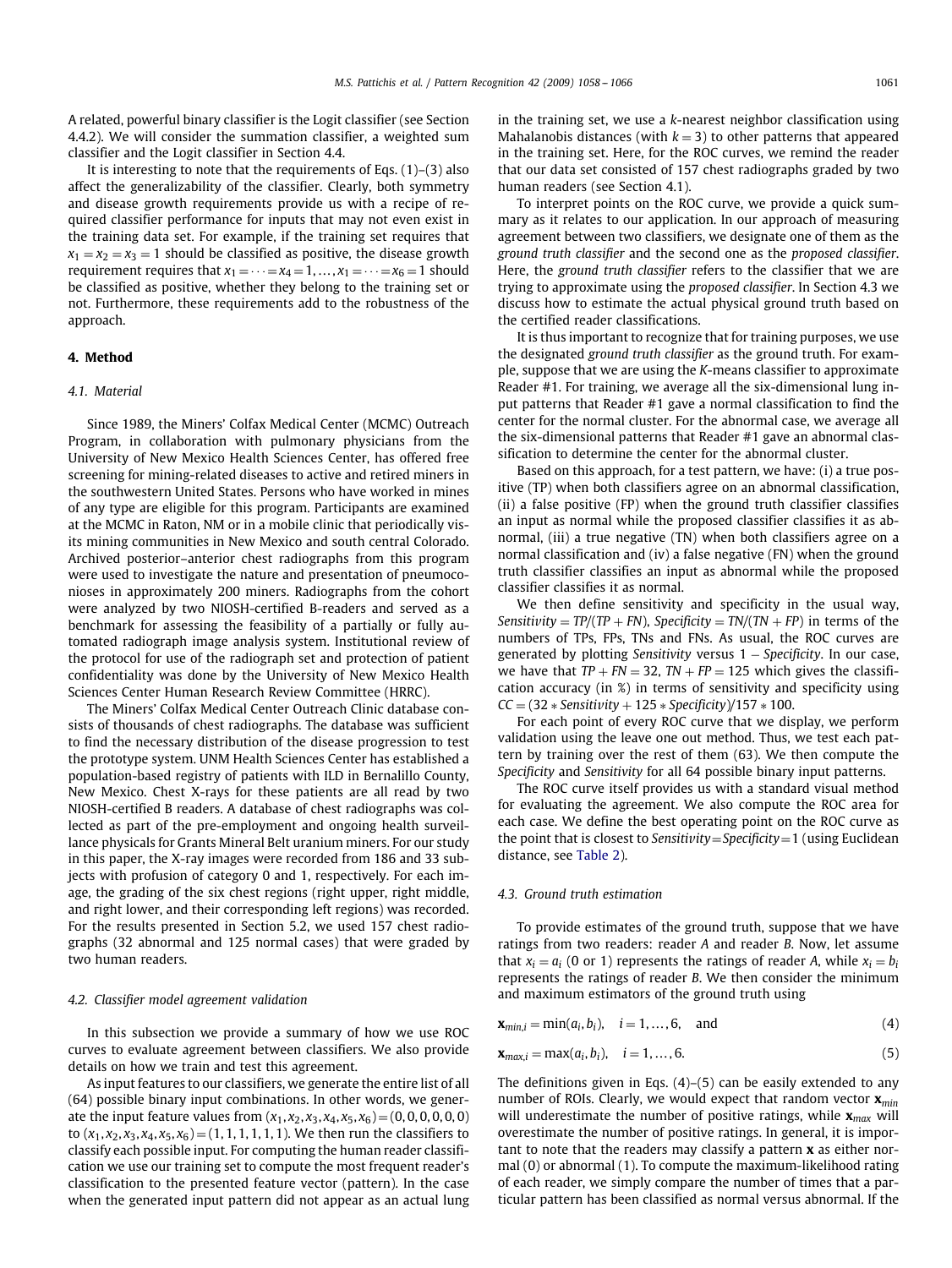A related, powerful binary classifier is the Logit classifier (see Section 4.4.2). We will consider the summation classifier, a weighted sum classifier and the Logit classifier in Section 4.4.

It is interesting to note that the requirements of Eqs.  $(1)$ – $(3)$  also affect the generalizability of the classifier. Clearly, both symmetry and disease growth requirements provide us with a recipe of required classifier performance for inputs that may not even exist in the training data set. For example, if the training set requires that  $x_1 = x_2 = x_3 = 1$  should be classified as positive, the disease growth requirement requires that  $x_1 = \cdots = x_4 = 1, \ldots, x_1 = \cdots = x_6 = 1$  should be classified as positive, whether they belong to the training set or not. Furthermore, these requirements add to the robustness of the approach.

#### **4. Method**

#### *4.1. Material*

Since 1989, the Miners' Colfax Medical Center (MCMC) Outreach Program, in collaboration with pulmonary physicians from the University of New Mexico Health Sciences Center, has offered free screening for mining-related diseases to active and retired miners in the southwestern United States. Persons who have worked in mines of any type are eligible for this program. Participants are examined at the MCMC in Raton, NM or in a mobile clinic that periodically visits mining communities in New Mexico and south central Colorado. Archived posterior–anterior chest radiographs from this program were used to investigate the nature and presentation of pneumoconioses in approximately 200 miners. Radiographs from the cohort were analyzed by two NIOSH-certified B-readers and served as a benchmark for assessing the feasibility of a partially or fully automated radiograph image analysis system. Institutional review of the protocol for use of the radiograph set and protection of patient confidentiality was done by the University of New Mexico Health Sciences Center Human Research Review Committee (HRRC).

The Miners' Colfax Medical Center Outreach Clinic database consists of thousands of chest radiographs. The database was sufficient to find the necessary distribution of the disease progression to test the prototype system. UNM Health Sciences Center has established a population-based registry of patients with ILD in Bernalillo County, New Mexico. Chest X-rays for these patients are all read by two NIOSH-certified B readers. A database of chest radiographs was collected as part of the pre-employment and ongoing health surveillance physicals for Grants Mineral Belt uranium miners. For our study in this paper, the X-ray images were recorded from 186 and 33 subjects with profusion of category 0 and 1, respectively. For each image, the grading of the six chest regions (right upper, right middle, and right lower, and their corresponding left regions) was recorded. For the results presented in Section 5.2, we used 157 chest radiographs (32 abnormal and 125 normal cases) that were graded by two human readers.

#### *4.2. Classifier model agreement validation*

In this subsection we provide a summary of how we use ROC curves to evaluate agreement between classifiers. We also provide details on how we train and test this agreement.

As input features to our classifiers, we generate the entire list of all (64) possible binary input combinations. In other words, we generate the input feature values from  $(x_1, x_2, x_3, x_4, x_5, x_6) = (0, 0, 0, 0, 0, 0)$ to  $(x_1, x_2, x_3, x_4, x_5, x_6) = (1, 1, 1, 1, 1, 1)$ . We then run the classifiers to classify each possible input. For computing the human reader classification we use our training set to compute the most frequent reader's classification to the presented feature vector (pattern). In the case when the generated input pattern did not appear as an actual lung in the training set, we use a *k*-nearest neighbor classification using Mahalanobis distances (with  $k = 3$ ) to other patterns that appeared in the training set. Here, for the ROC curves, we remind the reader that our data set consisted of 157 chest radiographs graded by two human readers (see Section 4.1).

To interpret points on the ROC curve, we provide a quick summary as it relates to our application. In our approach of measuring agreement between two classifiers, we designate one of them as the *ground truth classifier* and the second one as the *proposed classifier*. Here, the *ground truth classifier* refers to the classifier that we are trying to approximate using the *proposed classifier*. In Section 4.3 we discuss how to estimate the actual physical ground truth based on the certified reader classifications.

It is thus important to recognize that for training purposes, we use the designated *ground truth classifier* as the ground truth. For example, suppose that we are using the *K*-means classifier to approximate Reader #1. For training, we average all the six-dimensional lung input patterns that Reader #1 gave a normal classification to find the center for the normal cluster. For the abnormal case, we average all the six-dimensional patterns that Reader #1 gave an abnormal classification to determine the center for the abnormal cluster.

Based on this approach, for a test pattern, we have: (i) a true positive (TP) when both classifiers agree on an abnormal classification, (ii) a false positive (FP) when the ground truth classifier classifies an input as normal while the proposed classifier classifies it as abnormal, (iii) a true negative (TN) when both classifiers agree on a normal classification and (iv) a false negative (FN) when the ground truth classifier classifies an input as abnormal while the proposed classifier classifies it as normal.

We then define sensitivity and specificity in the usual way, *Sensitivity* =  $TP/(TP + FN)$ , *Specificity* =  $TN/(TN + FP)$  in terms of the numbers of TPs, FPs, TNs and FNs. As usual, the ROC curves are generated by plotting *Sensitivity* versus 1 − *Specificity*. In our case, we have that  $TP + FN = 32$ ,  $TN + FP = 125$  which gives the classification accuracy (in %) in terms of sensitivity and specificity using *CC* = (32 ∗ *Sensitivity* + 125 ∗ *Specificity*)*/*157 ∗ 100.

For each point of every ROC curve that we display, we perform validation using the leave one out method. Thus, we test each pattern by training over the rest of them (63). We then compute the *Specificity* and *Sensitivity* for all 64 possible binary input patterns.

The ROC curve itself provides us with a standard visual method for evaluating the agreement. We also compute the ROC area for each case. We define the best operating point on the ROC curve as the point that is closest to *Sensitivity*=*Specificity*=1 (using Euclidean distance, see [Table 2\)](#page-6-0).

#### *4.3. Ground truth estimation*

To provide estimates of the ground truth, suppose that we have ratings from two readers: reader *A* and reader *B*. Now, let assume that  $x_i = a_i$  (0 or 1) represents the ratings of reader *A*, while  $x_i = b_i$ represents the ratings of reader *B*. We then consider the minimum and maximum estimators of the ground truth using

$$
\mathbf{x}_{min,i} = \min(a_i, b_i), \quad i = 1, ..., 6, \text{ and} \tag{4}
$$

$$
\mathbf{x}_{max,i} = \max(a_i, b_i), \quad i = 1, ..., 6.
$$
 (5)

The definitions given in Eqs.  $(4)$ – $(5)$  can be easily extended to any number of ROIs. Clearly, we would expect that random vector **x***min* will underestimate the number of positive ratings, while **x***max* will overestimate the number of positive ratings. In general, it is important to note that the readers may classify a pattern **x** as either normal (0) or abnormal (1). To compute the maximum-likelihood rating of each reader, we simply compare the number of times that a particular pattern has been classified as normal versus abnormal. If the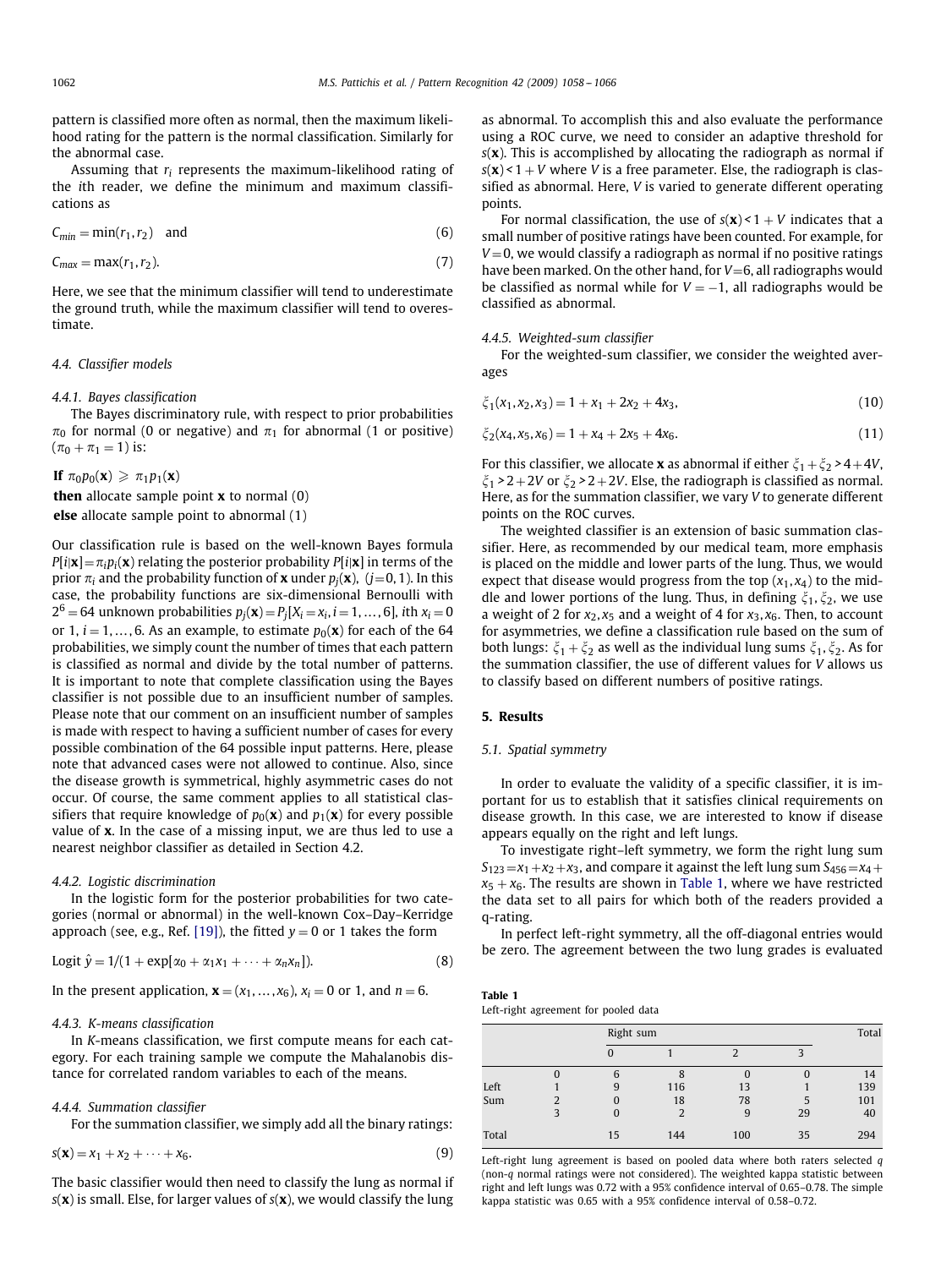pattern is classified more often as normal, then the maximum likelihood rating for the pattern is the normal classification. Similarly for the abnormal case.

Assuming that *ri* represents the maximum-likelihood rating of the *i*th reader, we define the minimum and maximum classifications as

$$
C_{min} = \min(r_1, r_2) \quad \text{and} \tag{6}
$$

$$
C_{max} = \max(r_1, r_2). \tag{7}
$$

Here, we see that the minimum classifier will tend to underestimate the ground truth, while the maximum classifier will tend to overestimate.

#### *4.4. Classifier models*

#### *4.4.1. Bayes classification*

The Bayes discriminatory rule, with respect to prior probabilities  $\pi_0$  for normal (0 or negative) and  $\pi_1$  for abnormal (1 or positive)  $(\pi_0 + \pi_1 = 1)$  is:

**If**  $\pi_0 p_0(\mathbf{x}) \geqslant \pi_1 p_1(\mathbf{x})$ **then** allocate sample point **x** to normal (0)

**else** allocate sample point to abnormal (1)

Our classification rule is based on the well-known Bayes formula  $P[i|\mathbf{x}] = \pi_i p_i(\mathbf{x})$  relating the posterior probability  $P[i|\mathbf{x}]$  in terms of the prior  $\pi_i$  and the probability function of **x** under  $p_j(\mathbf{x})$ ,  $(j=0,1)$ . In this case, the probability functions are six-dimensional Bernoulli with 2<sup>6</sup> = 64 unknown probabilities  $p_i(\mathbf{x}) = P_i[X_i = x_i, i = 1, ..., 6]$ , *i*th  $x_i = 0$ or 1,  $i = 1, ..., 6$ . As an example, to estimate  $p_0(\mathbf{x})$  for each of the 64 probabilities, we simply count the number of times that each pattern is classified as normal and divide by the total number of patterns. It is important to note that complete classification using the Bayes classifier is not possible due to an insufficient number of samples. Please note that our comment on an insufficient number of samples is made with respect to having a sufficient number of cases for every possible combination of the 64 possible input patterns. Here, please note that advanced cases were not allowed to continue. Also, since the disease growth is symmetrical, highly asymmetric cases do not occur. Of course, the same comment applies to all statistical classifiers that require knowledge of  $p_0(\mathbf{x})$  and  $p_1(\mathbf{x})$  for every possible value of **x**. In the case of a missing input, we are thus led to use a nearest neighbor classifier as detailed in Section 4.2.

#### *4.4.2. Logistic discrimination*

In the logistic form for the posterior probabilities for two categories (normal or abnormal) in the well-known Cox–Day–Kerridge approach (see, e.g., Ref. [\[19\]\)](#page-7-14), the fitted  $y = 0$  or 1 takes the form

$$
Logit \hat{y} = 1/(1 + exp[\alpha_0 + \alpha_1 x_1 + \dots + \alpha_n x_n]).
$$
\n(8)

In the present application,  $\mathbf{x} = (x_1, \ldots, x_6)$ ,  $x_i = 0$  or 1, and  $n = 6$ .

#### *4.4.3. K-means classification*

In *K*-means classification, we first compute means for each category. For each training sample we compute the Mahalanobis distance for correlated random variables to each of the means.

#### *4.4.4. Summation classifier*

For the summation classifier, we simply add all the binary ratings:

$$
s(\mathbf{x}) = x_1 + x_2 + \dots + x_6. \tag{9}
$$

The basic classifier would then need to classify the lung as normal if *s*(**x**) is small. Else, for larger values of *s*(**x**), we would classify the lung

as abnormal. To accomplish this and also evaluate the performance using a ROC curve, we need to consider an adaptive threshold for *s*(**x**). This is accomplished by allocating the radiograph as normal if  $s(x)$  < 1 + *V* where *V* is a free parameter. Else, the radiograph is classified as abnormal. Here, *V* is varied to generate different operating points.

For normal classification, the use of  $s(x) < 1 + V$  indicates that a small number of positive ratings have been counted. For example, for  $V = 0$ , we would classify a radiograph as normal if no positive ratings have been marked. On the other hand, for *V*=6, all radiographs would be classified as normal while for  $V = -1$ , all radiographs would be classified as abnormal.

#### *4.4.5. Weighted-sum classifier*

For the weighted-sum classifier, we consider the weighted averages

$$
\xi_1(x_1, x_2, x_3) = 1 + x_1 + 2x_2 + 4x_3,\tag{10}
$$

$$
\xi_2(x_4, x_5, x_6) = 1 + x_4 + 2x_5 + 4x_6. \tag{11}
$$

For this classifier, we allocate **x** as abnormal if either  $\xi_1 + \xi_2 > 4 + 4V$ ,  $\xi_1$  > 2 + 2*V* or  $\xi_2$  > 2 + 2*V*. Else, the radiograph is classified as normal. Here, as for the summation classifier, we vary *V* to generate different points on the ROC curves.

The weighted classifier is an extension of basic summation classifier. Here, as recommended by our medical team, more emphasis is placed on the middle and lower parts of the lung. Thus, we would expect that disease would progress from the top  $(x_1, x_4)$  to the middle and lower portions of the lung. Thus, in defining  $\xi_1, \xi_2$ , we use a weight of 2 for  $x_2, x_5$  and a weight of 4 for  $x_3, x_6$ . Then, to account for asymmetries, we define a classification rule based on the sum of both lungs:  $\xi_1 + \xi_2$  as well as the individual lung sums  $\xi_1, \xi_2$ . As for the summation classifier, the use of different values for *V* allows us to classify based on different numbers of positive ratings.

#### **5. Results**

#### *5.1. Spatial symmetry*

In order to evaluate the validity of a specific classifier, it is important for us to establish that it satisfies clinical requirements on disease growth. In this case, we are interested to know if disease appears equally on the right and left lungs.

To investigate right–left symmetry, we form the right lung sum  $S_{123} = x_1 + x_2 + x_3$ , and compare it against the left lung sum  $S_{456} = x_4 + x_5$  $x_5 + x_6$ . The results are shown in [Table 1,](#page-4-0) where we have restricted the data set to all pairs for which both of the readers provided a q-rating.

In perfect left-right symmetry, all the off-diagonal entries would be zero. The agreement between the two lung grades is evaluated

<span id="page-4-0"></span>

| Table 1 |                                      |  |  |
|---------|--------------------------------------|--|--|
|         | Left-right agreement for pooled data |  |  |

|              |   |          | Right sum |     |    | Total |  |
|--------------|---|----------|-----------|-----|----|-------|--|
|              |   |          |           | ำ   | ว  |       |  |
|              |   | 6        |           |     |    | 14    |  |
| Left         |   | 9        | 116       | 13  |    | 139   |  |
| Sum          |   | $\Omega$ | 18        | 78  | 5  | 101   |  |
|              | 3 | $\Omega$ |           | 9   | 29 | 40    |  |
| <b>Total</b> |   | 15       | 144       | 100 | 35 | 294   |  |

Left-right lung agreement is based on pooled data where both raters selected *q* (non-*q* normal ratings were not considered). The weighted kappa statistic between right and left lungs was 0.72 with a 95% confidence interval of 0.65–0.78. The simple kappa statistic was 0.65 with a 95% confidence interval of 0.58–0.72.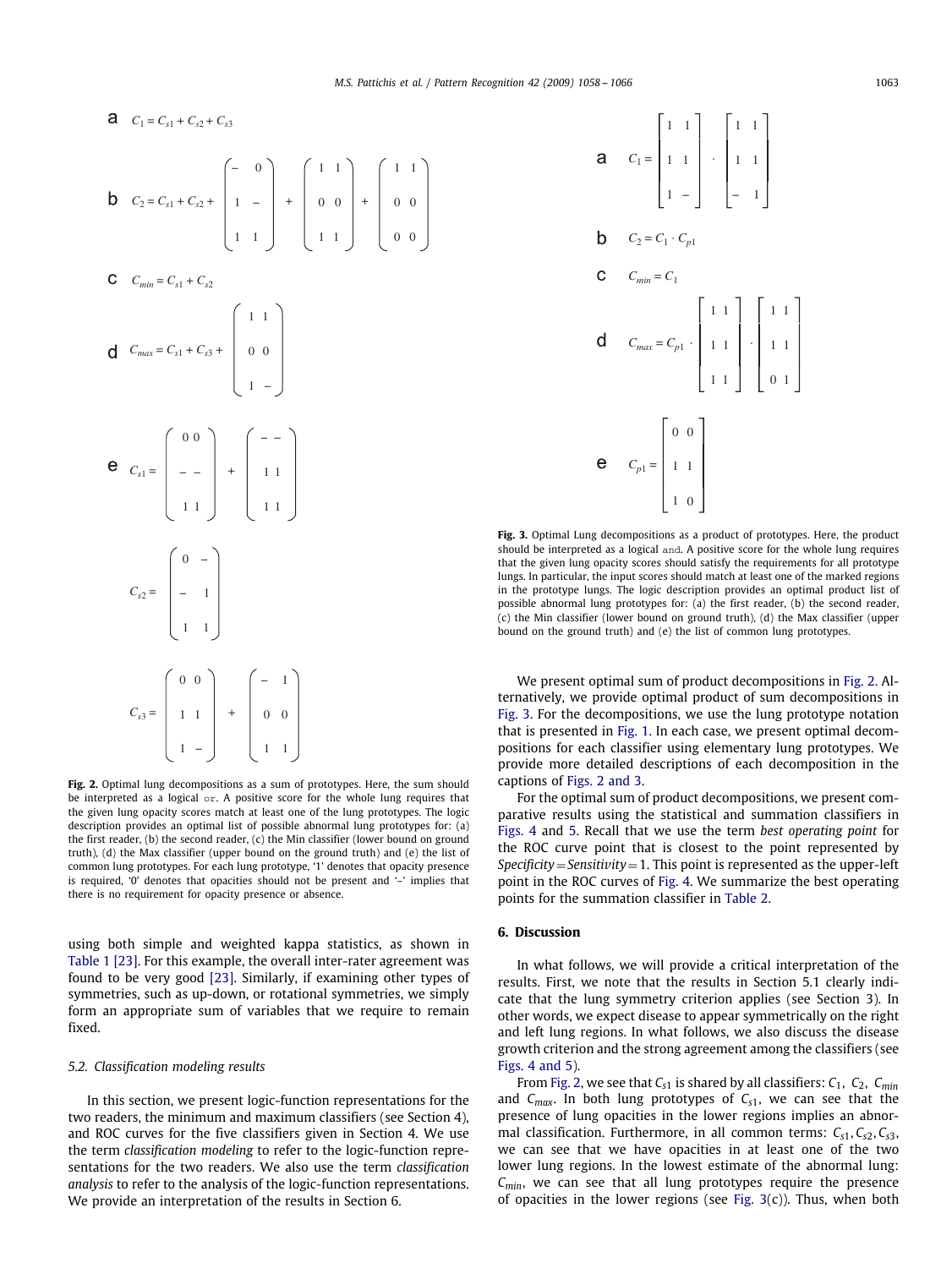**b** 
$$
C_2 = C_{s1} + C_{s2} + \begin{pmatrix} - & 0 \\ 1 & - \\ 1 & 1 \end{pmatrix} + \begin{pmatrix} 1 & 1 \\ 0 & 0 \\ 1 & 1 \end{pmatrix} + \begin{pmatrix} 1 & 1 \\ 0 & 0 \\ 0 & 0 \end{pmatrix}
$$

$$
\textbf{C} \quad C_{min} = C_{s1} + C_{s2}
$$

$$
C_{max} = C_{s1} + C_{s3} + \begin{bmatrix} 1 & 1 & 1 \\ 0 & 0 & 0 \\ 1 & -1 & 1 \end{bmatrix}
$$

$$
C_{s1} = \begin{pmatrix} 0 & 0 \\ 0 & 0 \\ 0 & 0 \\ 1 & 1 \end{pmatrix} + \begin{pmatrix} - & 0 & 0 \\ 0 & 0 & 0 \\ 1 & 1 & 0 \\ 0 & 0 & 0 \\ 1 & 1 & 1 \end{pmatrix}
$$

$$
C_{s2} = \begin{pmatrix} 0 & 0 & 0 \\ 0 & 0 & 0 \\ 1 & 1 & 1 \\ 1 & 1 & 1 \end{pmatrix} + \begin{pmatrix} - & 1 & 0 & 0 \\ 0 & 0 & 0 & 0 \\ 0 & 0 & 0 & 0 \\ 1 & 1 & 1 & 1 \end{pmatrix}
$$

**Fig. 2.** Optimal lung decompositions as a sum of prototypes. Here, the sum should be interpreted as a logical or. A positive score for the whole lung requires that the given lung opacity scores match at least one of the lung prototypes. The logic description provides an optimal list of possible abnormal lung prototypes for: (a) the first reader, (b) the second reader, (c) the Min classifier (lower bound on ground truth), (d) the Max classifier (upper bound on the ground truth) and (e) the list of common lung prototypes. For each lung prototype, `1' denotes that opacity presence is required, '0' denotes that opacities should not be present and '-' implies that there is no requirement for opacity presence or absence.

using both simple and weighted kappa statistics, as shown in [Table 1](#page-4-0) [\[23\].](#page-7-9) For this example, the overall inter-rater agreement was found to be very good [\[23\].](#page-7-9) Similarly, if examining other types of symmetries, such as up-down, or rotational symmetries, we simply form an appropriate sum of variables that we require to remain fixed.

#### *5.2. Classification modeling results*

In this section, we present logic-function representations for the two readers, the minimum and maximum classifiers (see Section 4), and ROC curves for the five classifiers given in Section 4. We use the term *classification modeling* to refer to the logic-function representations for the two readers. We also use the term *classification analysis* to refer to the analysis of the logic-function representations. We provide an interpretation of the results in Section 6.



**Fig. 3.** Optimal Lung decompositions as a product of prototypes. Here, the product should be interpreted as a logical and. A positive score for the whole lung requires that the given lung opacity scores should satisfy the requirements for all prototype lungs. In particular, the input scores should match at least one of the marked regions in the prototype lungs. The logic description provides an optimal product list of possible abnormal lung prototypes for: (a) the first reader, (b) the second reader, (c) the Min classifier (lower bound on ground truth), (d) the Max classifier (upper bound on the ground truth) and (e) the list of common lung prototypes.

<span id="page-5-1"></span>We present optimal sum of product decompositions in [Fig. 2.](#page-5-0) Alternatively, we provide optimal product of sum decompositions in [Fig. 3.](#page-5-1) For the decompositions, we use the lung prototype notation that is presented in [Fig. 1.](#page-2-0) In each case, we present optimal decompositions for each classifier using elementary lung prototypes. We provide more detailed descriptions of each decomposition in the captions of Figs. 2 and 3.

<span id="page-5-0"></span>For the optimal sum of product decompositions, we present comparative results using the statistical and summation classifiers in [Figs. 4](#page-6-1) and [5.](#page-6-2) Recall that we use the term *best operating point* for the ROC curve point that is closest to the point represented by *Specificity*=*Sensitivity*=1. This point is represented as the upper-left point in the ROC curves of [Fig. 4.](#page-6-1) We summarize the best operating points for the summation classifier in [Table 2.](#page-6-0)

#### **6. Discussion**

In what follows, we will provide a critical interpretation of the results. First, we note that the results in Section 5.1 clearly indicate that the lung symmetry criterion applies (see Section 3). In other words, we expect disease to appear symmetrically on the right and left lung regions. In what follows, we also discuss the disease growth criterion and the strong agreement among the classifiers (see Figs. 4 and 5).

From [Fig. 2,](#page-5-0) we see that *Cs*<sup>1</sup> is shared by all classifiers: *C*1, *C*2, *Cmin* and  $C_{max}$ . In both lung prototypes of  $C_{s1}$ , we can see that the presence of lung opacities in the lower regions implies an abnormal classification. Furthermore, in all common terms: *Cs*1, *Cs*2, *Cs*3, we can see that we have opacities in at least one of the two lower lung regions. In the lowest estimate of the abnormal lung: *Cmin*, we can see that all lung prototypes require the presence of opacities in the lower regions (see Fig.  $3(c)$ ). Thus, when both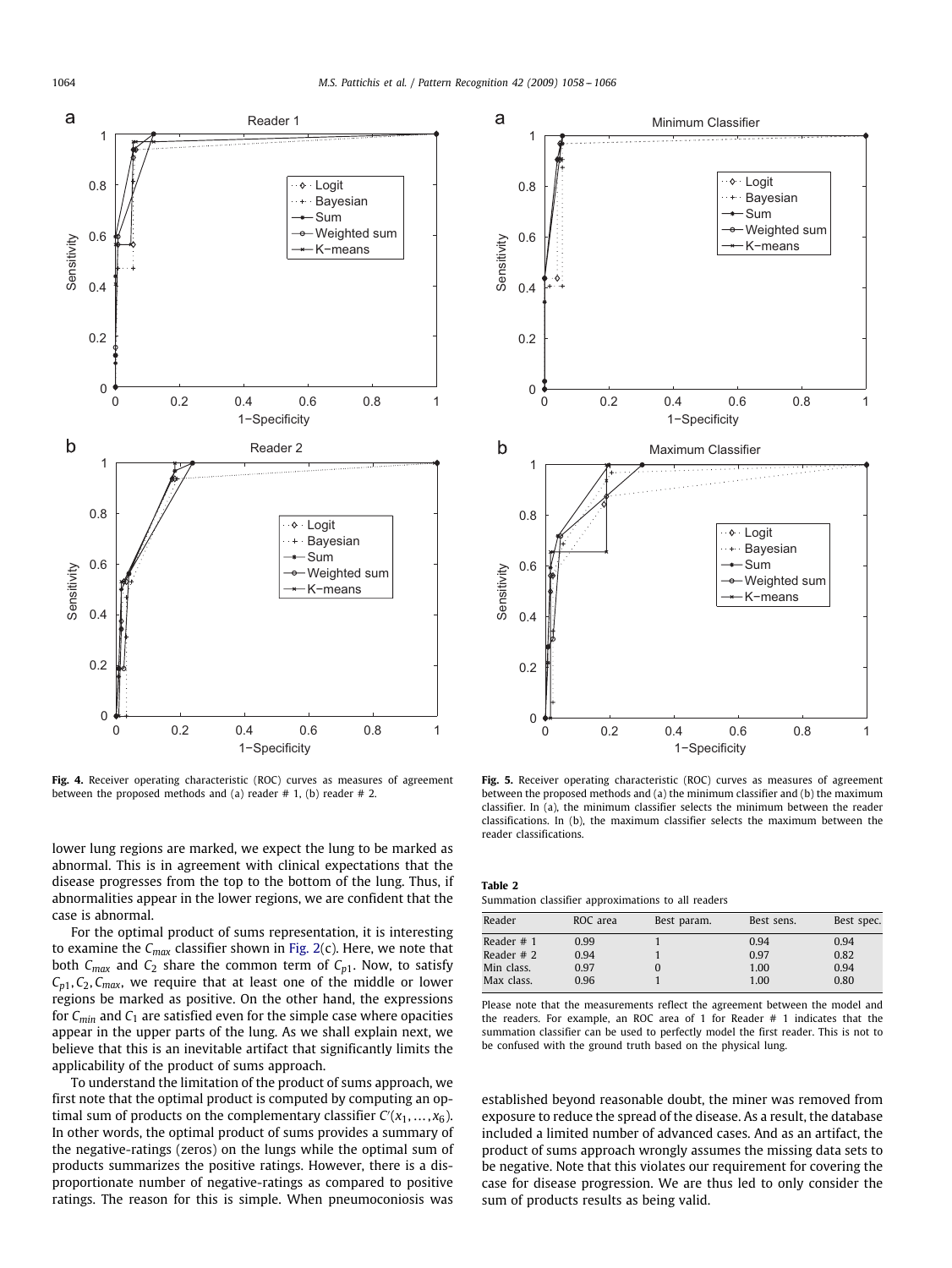

**Fig. 4.** Receiver operating characteristic (ROC) curves as measures of agreement between the proposed methods and (a) reader  $# 1$ , (b) reader  $# 2$ .

lower lung regions are marked, we expect the lung to be marked as abnormal. This is in agreement with clinical expectations that the disease progresses from the top to the bottom of the lung. Thus, if abnormalities appear in the lower regions, we are confident that the case is abnormal.

For the optimal product of sums representation, it is interesting to examine the *Cmax* classifier shown in [Fig. 2\(](#page-5-0)c). Here, we note that both  $C_{max}$  and  $C_2$  share the common term of  $C_{p1}$ . Now, to satisfy  $C_{p1}$ ,  $C_2$ ,  $C_{max}$ , we require that at least one of the middle or lower regions be marked as positive. On the other hand, the expressions for *Cmin* and *C*<sup>1</sup> are satisfied even for the simple case where opacities appear in the upper parts of the lung. As we shall explain next, we believe that this is an inevitable artifact that significantly limits the applicability of the product of sums approach.

To understand the limitation of the product of sums approach, we first note that the optimal product is computed by computing an optimal sum of products on the complementary classifier  $C'(x_1,...,x_6)$ . In other words, the optimal product of sums provides a summary of the negative-ratings (zeros) on the lungs while the optimal sum of products summarizes the positive ratings. However, there is a disproportionate number of negative-ratings as compared to positive ratings. The reason for this is simple. When pneumoconiosis was



<span id="page-6-2"></span><span id="page-6-1"></span>**Fig. 5.** Receiver operating characteristic (ROC) curves as measures of agreement between the proposed methods and (a) the minimum classifier and (b) the maximum classifier. In (a), the minimum classifier selects the minimum between the reader classifications. In (b), the maximum classifier selects the maximum between the reader classifications.

<span id="page-6-0"></span>

| Table |  |
|-------|--|
|-------|--|

Summation classifier approximations to all readers

| Reader       | ROC area | Best param. | Best sens. | Best spec. |
|--------------|----------|-------------|------------|------------|
| Reader $# 1$ | 0.99     |             | 0.94       | 0.94       |
| Reader $# 2$ | 0.94     |             | 0.97       | 0.82       |
| Min class.   | 0.97     |             | 1.00       | 0.94       |
| Max class.   | 0.96     |             | 1.00       | 0.80       |

Please note that the measurements reflect the agreement between the model and the readers. For example, an ROC area of 1 for Reader # 1 indicates that the summation classifier can be used to perfectly model the first reader. This is not to be confused with the ground truth based on the physical lung.

established beyond reasonable doubt, the miner was removed from exposure to reduce the spread of the disease. As a result, the database included a limited number of advanced cases. And as an artifact, the product of sums approach wrongly assumes the missing data sets to be negative. Note that this violates our requirement for covering the case for disease progression. We are thus led to only consider the sum of products results as being valid.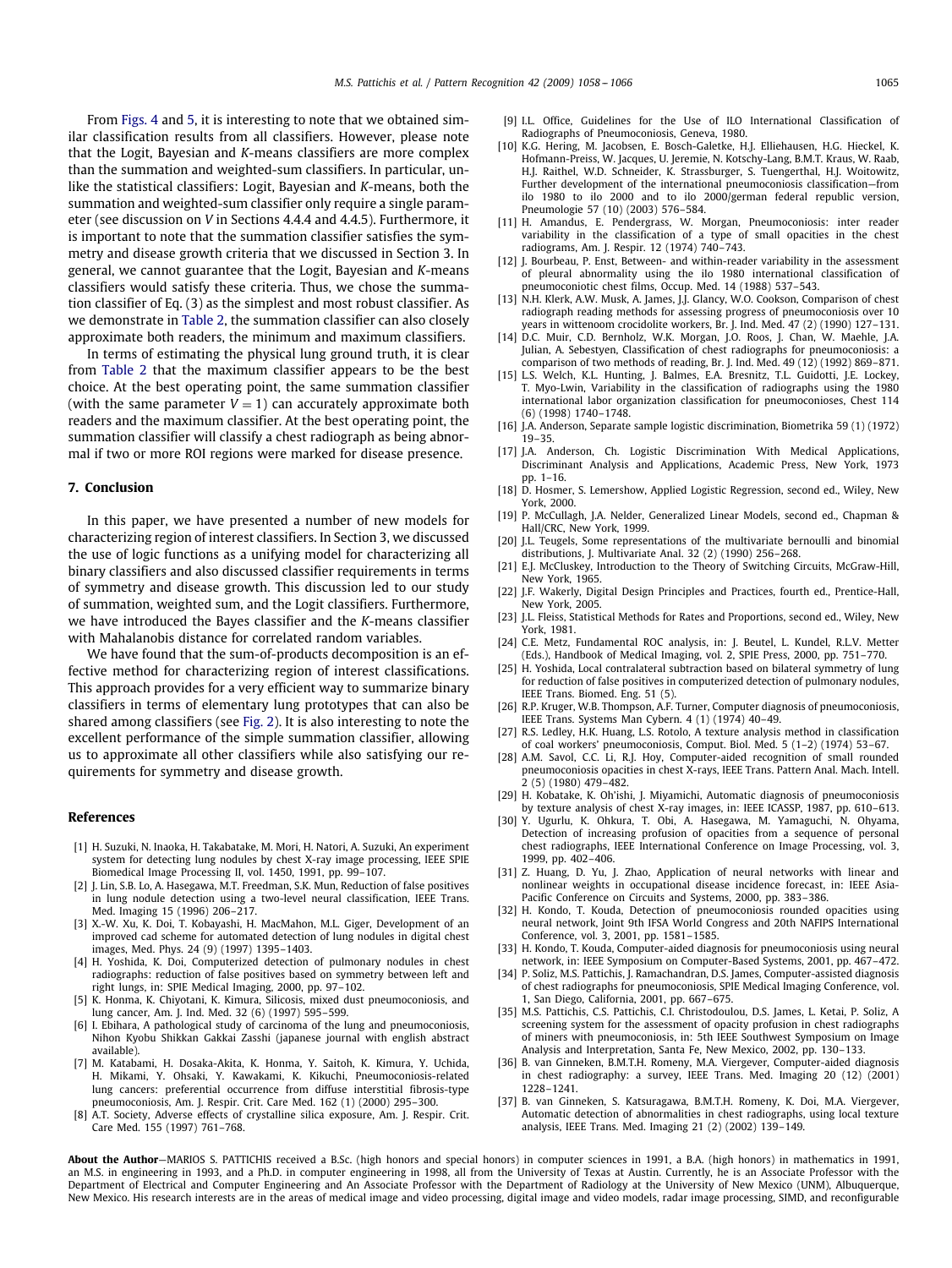From [Figs. 4](#page-6-1) and [5,](#page-6-2) it is interesting to note that we obtained similar classification results from all classifiers. However, please note that the Logit, Bayesian and *K*-means classifiers are more complex than the summation and weighted-sum classifiers. In particular, unlike the statistical classifiers: Logit, Bayesian and *K*-means, both the summation and weighted-sum classifier only require a single parameter (see discussion on *V* in Sections 4.4.4 and 4.4.5). Furthermore, it is important to note that the summation classifier satisfies the symmetry and disease growth criteria that we discussed in Section 3. In general, we cannot guarantee that the Logit, Bayesian and *K*-means classifiers would satisfy these criteria. Thus, we chose the summation classifier of Eq. (3) as the simplest and most robust classifier. As we demonstrate in [Table 2,](#page-6-0) the summation classifier can also closely approximate both readers, the minimum and maximum classifiers.

In terms of estimating the physical lung ground truth, it is clear from [Table 2](#page-6-0) that the maximum classifier appears to be the best choice. At the best operating point, the same summation classifier (with the same parameter  $V = 1$ ) can accurately approximate both readers and the maximum classifier. At the best operating point, the summation classifier will classify a chest radiograph as being abnormal if two or more ROI regions were marked for disease presence.

### **7. Conclusion**

In this paper, we have presented a number of new models for characterizing region of interest classifiers. In Section 3, we discussed the use of logic functions as a unifying model for characterizing all binary classifiers and also discussed classifier requirements in terms of symmetry and disease growth. This discussion led to our study of summation, weighted sum, and the Logit classifiers. Furthermore, we have introduced the Bayes classifier and the *K*-means classifier with Mahalanobis distance for correlated random variables.

We have found that the sum-of-products decomposition is an effective method for characterizing region of interest classifications. This approach provides for a very efficient way to summarize binary classifiers in terms of elementary lung prototypes that can also be shared among classifiers (see [Fig. 2\)](#page-5-0). It is also interesting to note the excellent performance of the simple summation classifier, allowing us to approximate all other classifiers while also satisfying our requirements for symmetry and disease growth.

#### **References**

- [1] H. Suzuki, N. Inaoka, H. Takabatake, M. Mori, H. Natori, A. Suzuki, An experiment system for detecting lung nodules by chest X-ray image processing, IEEE SPIE Biomedical Image Processing II, vol. 1450, 1991, pp. 99–107.
- [2] J. Lin, S.B. Lo, A. Hasegawa, M.T. Freedman, S.K. Mun, Reduction of false positives in lung nodule detection using a two-level neural classification, IEEE Trans. Med. Imaging 15 (1996) 206–217.
- <span id="page-7-0"></span>[3] X.-W. Xu, K. Doi, T. Kobayashi, H. MacMahon, M.L. Giger, Development of an improved cad scheme for automated detection of lung nodules in digital chest images, Med. Phys. 24 (9) (1997) 1395–1403.
- <span id="page-7-1"></span>[4] H. Yoshida, K. Doi, Computerized detection of pulmonary nodules in chest radiographs: reduction of false positives based on symmetry between left and right lungs, in: SPIE Medical Imaging, 2000, pp. 97–102.
- <span id="page-7-2"></span>[5] K. Honma, K. Chiyotani, K. Kimura, Silicosis, mixed dust pneumoconiosis, and lung cancer, Am. J. Ind. Med. 32 (6) (1997) 595–599.
- <span id="page-7-3"></span>[6] I. Ebihara, A pathological study of carcinoma of the lung and pneumoconiosis, Nihon Kyobu Shikkan Gakkai Zasshi (japanese journal with english abstract available).
- <span id="page-7-4"></span>[7] M. Katabami, H. Dosaka-Akita, K. Honma, Y. Saitoh, K. Kimura, Y. Uchida, H. Mikami, Y. Ohsaki, Y. Kawakami, K. Kikuchi, Pneumoconiosis-related lung cancers: preferential occurrence from diffuse interstitial fibrosis-type pneumoconiosis, Am. J. Respir. Crit. Care Med. 162 (1) (2000) 295–300.
- [8] A.T. Society, Adverse effects of crystalline silica exposure, Am. J. Respir. Crit. Care Med. 155 (1997) 761–768.
- <span id="page-7-5"></span>[9] I.L. Office, Guidelines for the Use of ILO International Classification of Radiographs of Pneumoconiosis, Geneva, 1980.
- <span id="page-7-6"></span>[10] K.G. Hering, M. Jacobsen, E. Bosch-Galetke, H.J. Elliehausen, H.G. Hieckel, K. Hofmann-Preiss, W. Jacques, U. Jeremie, N. Kotschy-Lang, B.M.T. Kraus, W. Raab, H.J. Raithel, W.D. Schneider, K. Strassburger, S. Tuengerthal, H.J. Woitowitz, Further development of the international pneumoconiosis classification—from ilo 1980 to ilo 2000 and to ilo 2000/german federal republic version, Pneumologie 57 (10) (2003) 576–584.
- [11] H. Amandus, E. Pendergrass, W. Morgan, Pneumoconiosis: inter reader variability in the classification of a type of small opacities in the chest radiograms, Am. J. Respir. 12 (1974) 740–743.
- [12] J. Bourbeau, P. Enst, Between- and within-reader variability in the assessment of pleural abnormality using the ilo 1980 international classification of pneumoconiotic chest films, Occup. Med. 14 (1988) 537–543.
- [13] N.H. Klerk, A.W. Musk, A. James, J.J. Glancy, W.O. Cookson, Comparison of chest radiograph reading methods for assessing progress of pneumoconiosis over 10 years in wittenoom crocidolite workers, Br. J. Ind. Med. 47 (2) (1990) 127–131.
- [14] D.C. Muir, C.D. Bernholz, W.K. Morgan, J.O. Roos, J. Chan, W. Maehle, J.A. Julian, A. Sebestyen, Classification of chest radiographs for pneumoconiosis: a comparison of two methods of reading, Br. J. Ind. Med. 49 (12) (1992) 869–871.
- [15] L.S. Welch, K.L. Hunting, J. Balmes, E.A. Bresnitz, T.L. Guidotti, J.E. Lockey, T. Myo-Lwin, Variability in the classification of radiographs using the 1980 international labor organization classification for pneumoconioses, Chest 114 (6) (1998) 1740–1748.
- [16] J.A. Anderson, Separate sample logistic discrimination, Biometrika 59 (1) (1972) 19–35.
- [17] J.A. Anderson, Ch. Logistic Discrimination With Medical Applications, Discriminant Analysis and Applications, Academic Press, New York, 1973 pp. 1–16.
- [18] D. Hosmer, S. Lemershow, Applied Logistic Regression, second ed., Wiley, New York, 2000.
- <span id="page-7-14"></span>[19] P. McCullagh, J.A. Nelder, Generalized Linear Models, second ed., Chapman & Hall/CRC, New York, 1999.
- [20] J.L. Teugels, Some representations of the multivariate bernoulli and binomial distributions, J. Multivariate Anal. 32 (2) (1990) 256–268.
- <span id="page-7-8"></span><span id="page-7-7"></span>[21] E.J. McCluskey, Introduction to the Theory of Switching Circuits, McGraw-Hill, New York, 1965.
- <span id="page-7-9"></span>[22] J.F. Wakerly, Digital Design Principles and Practices, fourth ed., Prentice-Hall, New York, 2005.
- <span id="page-7-10"></span>[23] J.L. Fleiss, Statistical Methods for Rates and Proportions, second ed., Wiley, New York, 1981.
- <span id="page-7-11"></span>[24] C.E. Metz, Fundamental ROC analysis, in: J. Beutel, L. Kundel, R.L.V. Metter (Eds.), Handbook of Medical Imaging, vol. 2, SPIE Press, 2000, pp. 751–770.
- [25] H. Yoshida, Local contralateral subtraction based on bilateral symmetry of lung for reduction of false positives in computerized detection of pulmonary nodules, IEEE Trans. Biomed. Eng. 51 (5).
- [26] R.P. Kruger, W.B. Thompson, A.F. Turner, Computer diagnosis of pneumoconiosis, IEEE Trans. Systems Man Cybern. 4 (1) (1974) 40–49.
- [27] R.S. Ledley, H.K. Huang, L.S. Rotolo, A texture analysis method in classification of coal workers' pneumoconiosis, Comput. Biol. Med. 5 (1–2) (1974) 53–67.
- [28] A.M. Savol, C.C. Li, R.J. Hoy, Computer-aided recognition of small rounded pneumoconiosis opacities in chest X-rays, IEEE Trans. Pattern Anal. Mach. Intell. 2 (5) (1980) 479–482.
- [29] H. Kobatake, K. Oh'ishi, J. Miyamichi, Automatic diagnosis of pneumoconiosis by texture analysis of chest X-ray images, in: IEEE ICASSP, 1987, pp. 610–613.
- [30] Y. Ugurlu, K. Ohkura, T. Obi, A. Hasegawa, M. Yamaguchi, N. Ohyama, Detection of increasing profusion of opacities from a sequence of personal chest radiographs, IEEE International Conference on Image Processing, vol. 3, 1999, pp. 402–406.
- [31] Z. Huang, D. Yu, J. Zhao, Application of neural networks with linear and nonlinear weights in occupational disease incidence forecast, in: IEEE Asia-Pacific Conference on Circuits and Systems, 2000, pp. 383–386.
- [32] H. Kondo, T. Kouda, Detection of pneumoconiosis rounded opacities using neural network, Joint 9th IFSA World Congress and 20th NAFIPS International Conference, vol. 3, 2001, pp. 1581–1585.
- [33] H. Kondo, T. Kouda, Computer-aided diagnosis for pneumoconiosis using neural network, in: IEEE Symposium on Computer-Based Systems, 2001, pp. 467–472.
- [34] P. Soliz, M.S. Pattichis, J. Ramachandran, D.S. James, Computer-assisted diagnosis of chest radiographs for pneumoconiosis, SPIE Medical Imaging Conference, vol. 1, San Diego, California, 2001, pp. 667–675.
- <span id="page-7-12"></span>[35] M.S. Pattichis, C.S. Pattichis, C.I. Christodoulou, D.S. James, L. Ketai, P. Soliz, A screening system for the assessment of opacity profusion in chest radiographs of miners with pneumoconiosis, in: 5th IEEE Southwest Symposium on Image Analysis and Interpretation, Santa Fe, New Mexico, 2002, pp. 130–133.
- <span id="page-7-13"></span>[36] B. van Ginneken, B.M.T.H. Romeny, M.A. Viergever, Computer-aided diagnosis in chest radiography: a survey, IEEE Trans. Med. Imaging 20 (12) (2001) 1228–1241.
- [37] B. van Ginneken, S. Katsuragawa, B.M.T.H. Romeny, K. Doi, M.A. Viergever, Automatic detection of abnormalities in chest radiographs, using local texture analysis, IEEE Trans. Med. Imaging 21 (2) (2002) 139–149.

**About the Author**—MARIOS S. PATTICHIS received a B.Sc. (high honors and special honors) in computer sciences in 1991, a B.A. (high honors) in mathematics in 1991, an M.S. in engineering in 1993, and a Ph.D. in computer engineering in 1998, all from the University of Texas at Austin. Currently, he is an Associate Professor with the Department of Electrical and Computer Engineering and An Associate Professor with the Department of Radiology at the University of New Mexico (UNM), Albuquerque, New Mexico. His research interests are in the areas of medical image and video processing, digital image and video models, radar image processing, SIMD, and reconfigurable